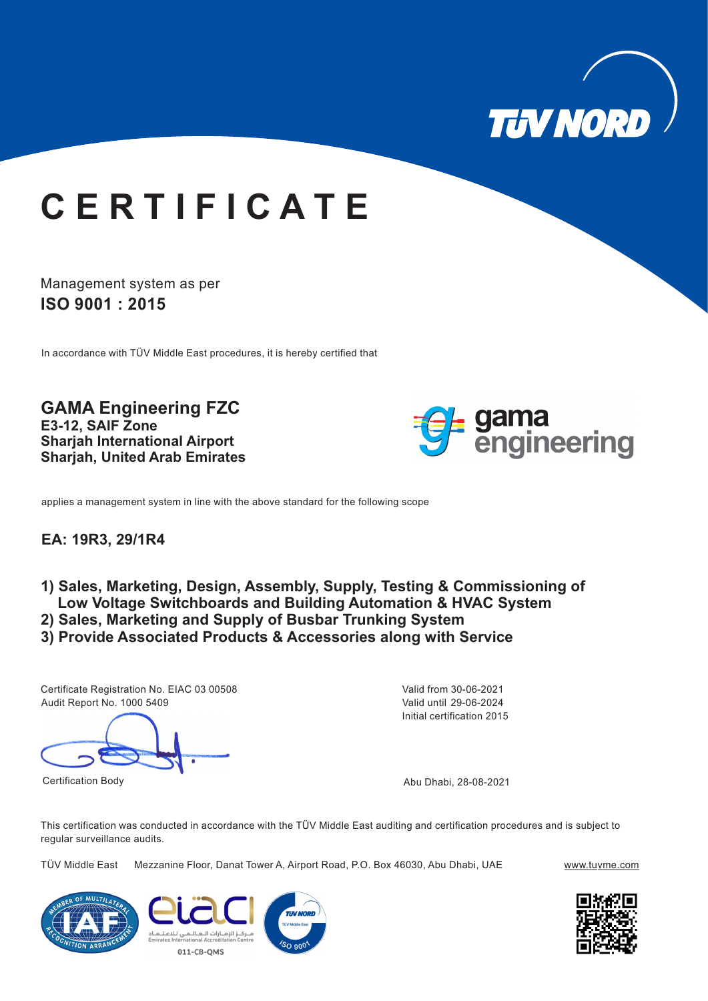

applies a management system in line with the above standard for the following scope

Management system as per **ISO 9001 : 2015**



# **C E R T I F I C A T E**

Initial certification 2015 Valid from 30-06-2021 Valid until 29-06-2024

### Abu Dhabi, 28-08-2021

In accordance with TÜV Middle East procedures, it is hereby certified that

Certificate Registration No. EIAC 03 00508 Audit Report No. 1000 5409

This certification was conducted in accordance with the TÜV Middle East auditing and certification procedures and is subject to regular surveillance audits.

TÜV Middle East Mezzanine Floor, Danat Tower A, Airport Road, P.O. Box 46030, Abu Dhabi, UAE www.tuvme.com









**GAMA Engineering FZC E3-12, SAIF Zone Sharjah International Airport Sharjah, United Arab Emirates**



- **1) Sales, Marketing, Design, Assembly, Supply, Testing & Commissioning of Low Voltage Switchboards and Building Automation & HVAC System**
- **2) Sales, Marketing and Supply of Busbar Trunking System**
- 
- **3) Provide Associated Products & Accessories along with Service**

### **EA: 19R3, 29/1R4**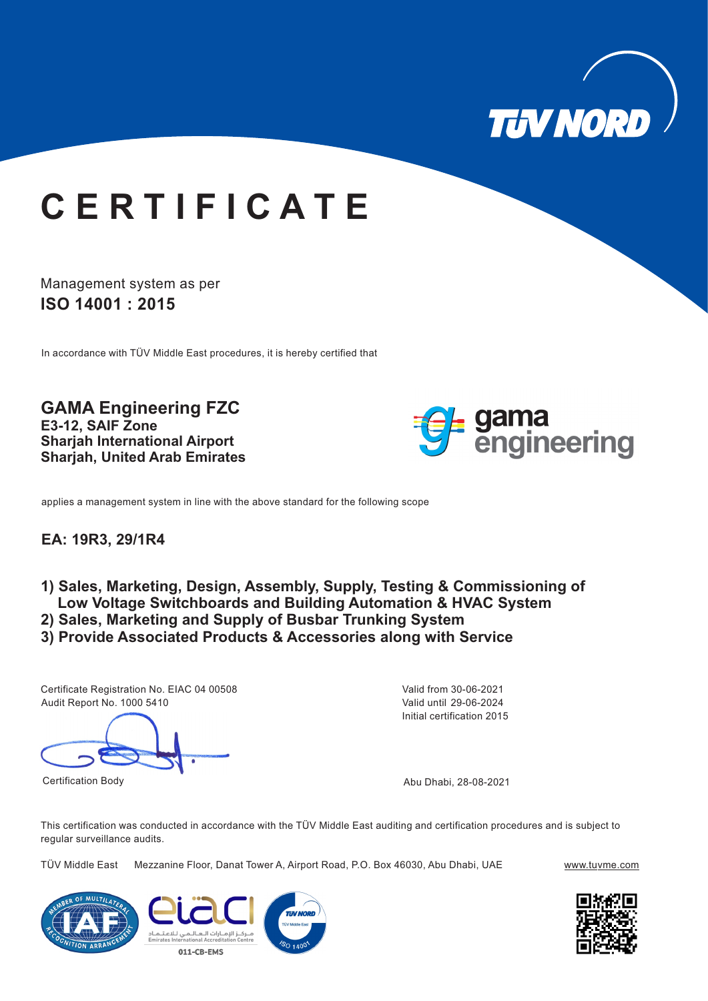Management system as per **ISO 14001 : 2015**



# **C E R T I F I C A T E**

In accordance with TÜV Middle East procedures, it is hereby certified that

This certification was conducted in accordance with the TÜV Middle East auditing and certification procedures and is subject to regular surveillance audits.

TÜV Middle East Mezzanine Floor, Danat Tower A, Airport Road, P.O. Box 46030, Abu Dhabi, UAE www.tuvme.com











applies a management system in line with the above standard for the following scope

Initial certification 2015 Valid from 30-06-2021 Valid until 29-06-2024

### Abu Dhabi, 28-08-2021

Certificate Registration No. EIAC 04 00508 Audit Report No. 1000 5410

**GAMA Engineering FZC E3-12, SAIF Zone Sharjah International Airport Sharjah, United Arab Emirates**



- **1) Sales, Marketing, Design, Assembly, Supply, Testing & Commissioning of Low Voltage Switchboards and Building Automation & HVAC System**
- **2) Sales, Marketing and Supply of Busbar Trunking System**
- 
- **3) Provide Associated Products & Accessories along with Service**

### **EA: 19R3, 29/1R4**